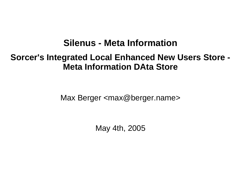## **Silenus - Meta Information**

## **Sorcer's Integrated Local Enhanced New Users Store - Meta Information DAta Store**

Max Berger <max@berger.name>

May 4th, 2005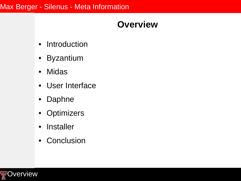## **Overview**

- Introduction
- Byzantium
- Midas
- User Interface
- Daphne
- Optimizers
- Installer
- Conclusion

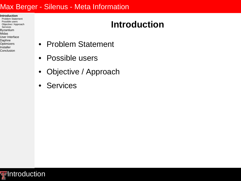- **Introduction**
- Problem Statement Possible users Objective / Approach Services Byzantium Midas
- User Interface Daphne **Optimizers**
- Installer
- Conclusion

# **Introduction**

- Problem Statement
- Possible users
- Objective / Approach
- Services

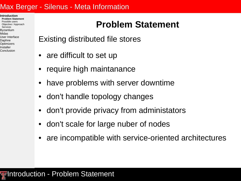**Introduction Problem Statement** Possible users Objective / Approach Services Byzantium Midas User Interface Daphne **Optimizers** Installer Conclusion

# **Problem Statement**

- Existing distributed file stores
- are difficult to set up
- require high maintanance
- have problems with server downtime
- don't handle topology changes
- don't provide privacy from administators
- don't scale for large nuber of nodes
- are incompatible with service-oriented architectures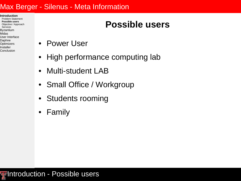**Introduction** Problem Statement **Possible users** Objective / Approach Services Byzantium Midas User Interface Daphne Optimizers Installer

Conclusion

# **Possible users**

- Power User
- High performance computing lab
- Multi-student LAB
- Small Office / Workgroup
- Students rooming
- Family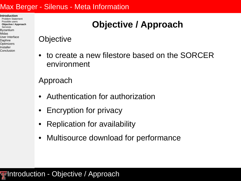**Introduction** Problem Statement Possible users **Objective / Approach** Services Byzantium Midas User Interface Daphne Optimizers Installer Conclusion

# **Objective / Approach**

## **Objective**

• to create a new filestore based on the SORCER environment

## Approach

- Authentication for authorization
- Encryption for privacy
- Replication for availability
- Multisource download for performance

## **Figheral Introduction - Objective / Approach**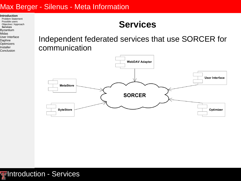**Introduction**

Problem Statement Possible users Objective / Approach **Services** Byzantium Midas User Interface

Daphne **Optimizers** 

Installer

Conclusion

## **Services**

Independent federated services that use SORCER for communication

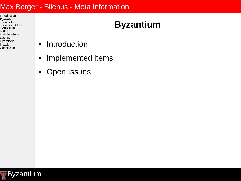- Introduction **Byzantium** Introduction Implemented items Open Issues Midas User Interface Daphne Optimizers Installer
- Conclusion

# **Byzantium**

- Introduction
- Implemented items
- Open Issues

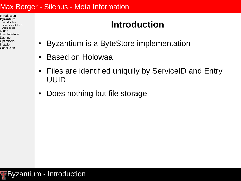Introduction **Byzantium Introduction** Implemented items Open Issues Midas User Interface Daphne Optimizers Installer Conclusion

# **Introduction**

- Byzantium is a ByteStore implementation
- Based on Holowaa
- Files are identified uniquily by ServiceID and Entry UUID
- Does nothing but file storage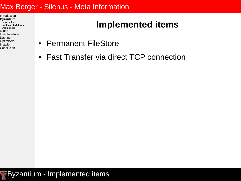Introduction **Byzantium** Introduction **Implemented items** Open Issues Midas User Interface Daphne Optimizers Installer Conclusion

# **Implemented items**

- Permanent FileStore
- Fast Transfer via direct TCP connection

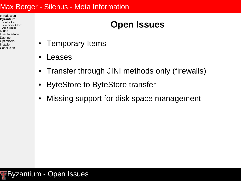Introduction **Byzantium** Introduction Implemented items **Open Issues** Midas User Interface Daphne Optimizers Installer Conclusion

# **Open Issues**

- Temporary Items
- Leases
- Transfer through JINI methods only (firewalls)
- ByteStore to ByteStore transfer
- Missing support for disk space management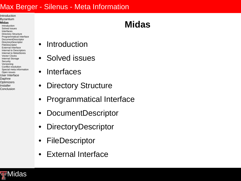Introduction Byzantium

#### **Midas**

Introduction Solved issues Interfaces Directory Structure Programmatical Interface DocumentDescriptor **DirectoryDescriptor** FileDescriptor External Interface Internal to Descriptors Internal to MetaStores Vector Clocks Internal Storage **Security** Versioning Conflict resolution Special meta information Open issues User Interface Daphne Optimizers Installer

Conclusion

## **Midas**

- **Introduction**
- Solved issues
- Interfaces
- **Directory Structure**
- Programmatical Interface
- DocumentDescriptor
- DirectoryDescriptor
- FileDescriptor
- External Interface

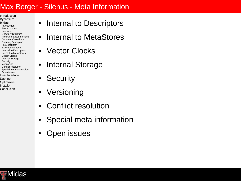Introduction Byzantium

- **Midas**
- Introduction Solved issues Interfaces Directory Structure Programmatical Interface DocumentDescriptor **DirectoryDescriptor** FileDescriptor External Interface Internal to Descriptors Internal to MetaStores Vector Clocks Internal Storage **Security** Versioning Conflict resolution Special meta information Open issues User Interface Daphne **Optimizers** Installer

Conclusion

- Internal to Descriptors
- Internal to MetaStores
- Vector Clocks
- Internal Storage
- **Security**
- Versioning
- Conflict resolution
- Special meta information
- Open issues

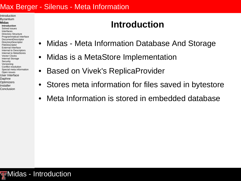Introduction Byzantium

#### **Midas**

**Introduction** Solved issues Interfaces Directory Structure Programmatical Interface DocumentDescriptor **DirectoryDescriptor** FileDescriptor External Interface Internal to Descriptors Internal to MetaStores Vector Clocks Internal Storage **Security** Versioning Conflict resolution Special meta information Open issues User Interface Daphne Optimizers Installer

Conclusion

# **Introduction**

- Midas Meta Information Database And Storage
- Midas is a MetaStore Implementation
- **Based on Vivek's ReplicaProvider**
- Stores meta information for files saved in bytestore
- Meta Information is stored in embedded database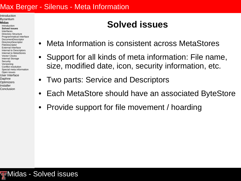Introduction Byzantium

#### **Midas**

Introduction **Solved issues** Interfaces Directory Structure Programmatical Interface DocumentDescriptor **DirectoryDescriptor** FileDescriptor External Interface Internal to Descriptors Internal to MetaStores Vector Clocks Internal Storage **Security** Versioning Conflict resolution Special meta information Open issues User Interface Daphne Optimizers Installer Conclusion

# **Solved issues**

- Meta Information is consistent across MetaStores
- Support for all kinds of meta information: File name, size, modified date, icon, security information, etc.
- Two parts: Service and Descriptors
- Each MetaStore should have an associated ByteStore
- Provide support for file movement / hoarding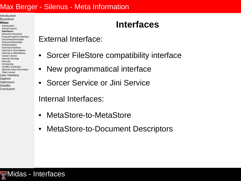Introduction Byzantium

#### **Midas**

Introduction Solved issues **Interfaces** Directory Structure Programmatical Interface DocumentDescriptor **DirectoryDescriptor** FileDescriptor External Interface Internal to Descriptors Internal to MetaStores Vector Clocks Internal Storage **Security** Versioning Conflict resolution Special meta information Open issues User Interface Daphne Optimizers Installer

Conclusion

## External Interface:

• Sorcer FileStore compatibility interface

**Interfaces**

- New programmatical interface
- Sorcer Service or Jini Service

Internal Interfaces:

- MetaStore-to-MetaStore
- MetaStore-to-Document Descriptors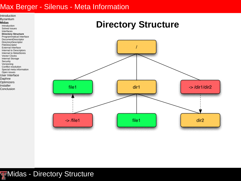

#### **Midas**

Introduction Solved issues Interfaces **Directory Structure** Programmatical Interface DocumentDescriptor **DirectoryDescriptor** FileDescriptor External Interface Internal to Descriptors Internal to MetaStores Vector Clocks Internal Storage **Security** Versioning Conflict resolution Special meta information Open issues User Interface Daphne **Optimizers** Installer

Conclusion

## **Directory Structure**



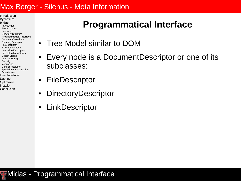Introduction Byzantium

#### **Midas**

Introduction Solved issues Interfaces Directory Structure **Programmatical Interface** DocumentDescriptor **DirectoryDescriptor** FileDescriptor External Interface Internal to Descriptors Internal to MetaStores Vector Clocks Internal Storage **Security** Versioning Conflict resolution Special meta information Open issues User Interface Daphne Optimizers

Installer Conclusion

## **Programmatical Interface**

- Tree Model similar to DOM
- Every node is a DocumentDescriptor or one of its subclasses:
- **FileDescriptor**
- DirectoryDescriptor
- LinkDescriptor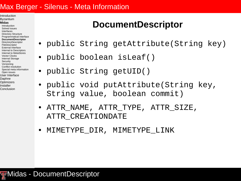Introduction Byzantium

#### **Midas**

Introduction Solved issues Interfaces Directory Structure Programmatical Interface **DocumentDescriptor** DirectoryDescriptor FileDescriptor External Interface Internal to Descriptors Internal to MetaStores Vector Clocks Internal Storage **Security** Versioning Conflict resolution Special meta information Open issues User Interface Daphne Optimizers Installer Conclusion

## **DocumentDescriptor**

- public String getAttribute(String key)
- public boolean isLeaf()
- public String getUID()
- public void putAttribute(String key, String value, boolean commit)
- ATTR\_NAME, ATTR\_TYPE, ATTR\_SIZE, ATTR\_CREATIONDATE
- MIMETYPE\_DIR, MIMETYPE\_LINK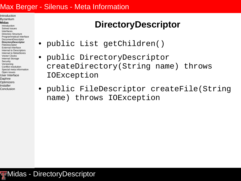Introduction Byzantium

#### **Midas**

Introduction Solved issues Interfaces Directory Structure Programmatical Interface DocumentDescriptor **DirectoryDescriptor** FileDescriptor External Interface Internal to Descriptors Internal to MetaStores Vector Clocks Internal Storage **Security** Versioning Conflict resolution Special meta information Open issues User Interface Daphne Optimizers Installer Conclusion

# **DirectoryDescriptor**

- public List getChildren()
- public DirectoryDescriptor createDirectory(String name) throws IOException
- public FileDescriptor createFile(String name) throws IOException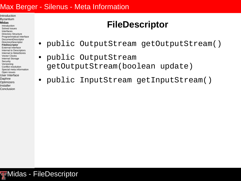Introduction Byzantium

#### **Midas**

Introduction Solved issues Interfaces Directory Structure Programmatical Interface DocumentDescriptor **DirectoryDescriptor FileDescriptor** External Interface Internal to Descriptors Internal to MetaStores Vector Clocks Internal Storage **Security** Versioning Conflict resolution Special meta information Open issues User Interface Daphne **Optimizers** Installer

Conclusion

## **FileDescriptor**

- public OutputStream getOutputStream()
- public OutputStream getOutputStream(boolean update)
- public InputStream getInputStream()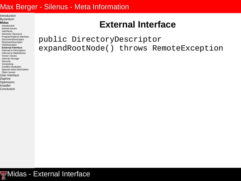Introduction Byzantium

#### **Midas**

Introduction Solved issues Interfaces Directory Structure Programmatical Interface DocumentDescriptor **DirectoryDescriptor** FileDescriptor **External Interface** Internal to Descriptors Internal to MetaStores Vector Clocks Internal Storage **Security** Versioning Conflict resolution Special meta information Open issues User Interface Daphne **Optimizers** Installer Conclusion

## **External Interface**

public DirectoryDescriptor expandRootNode() throws RemoteException

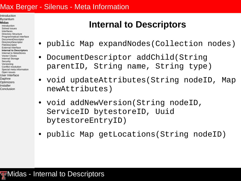Introduction Byzantium

#### **Midas**

Introduction Solved issues Interfaces Directory Structure Programmatical Interface DocumentDescriptor **DirectoryDescriptor** FileDescriptor External Interface **Internal to Descriptors** Internal to MetaStores Vector Clocks Internal Storage **Security** Versioning Conflict resolution Special meta information Open issues User Interface Daphne **Optimizers** Installer Conclusion

# **Internal to Descriptors**

- public Map expandNodes(Collection nodes)
- DocumentDescriptor addChild(String parentID, String name, String type)
- void updateAttributes(String nodeID, Map newAttributes)
- void addNewVersion(String nodeID, ServiceID bytestoreID, Uuid bytestoreEntryID)
- public Map getLocations(String nodeID)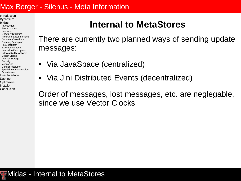Introduction Byzantium

#### **Midas**

Introduction Solved issues Interfaces Directory Structure Programmatical Interface DocumentDescriptor **DirectoryDescriptor** FileDescriptor External Interface Internal to Descriptors **Internal to MetaStores** Vector Clocks Internal Storage **Security** Versioning Conflict resolution Special meta information Open issues User Interface Daphne Optimizers Installer

Conclusion

## **Internal to MetaStores**

There are currently two planned ways of sending update messages:

- Via JavaSpace (centralized)
- Via Jini Distributed Events (decentralized)

Order of messages, lost messages, etc. are neglegable, since we use Vector Clocks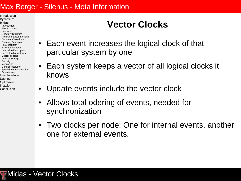Introduction Byzantium

#### **Midas**

Introduction Solved issues Interfaces Directory Structure Programmatical Interface DocumentDescriptor **DirectoryDescriptor** FileDescriptor External Interface Internal to Descriptors Internal to MetaStores **Vector Clocks** Internal Storage **Security** Versioning Conflict resolution Special meta information Open issues User Interface Daphne Optimizers Installer Conclusion

# **Vector Clocks**

- Each event increases the logical clock of that particular system by one
- Each system keeps a vector of all logical clocks it knows
- Update events include the vector clock
- Allows total odering of events, needed for synchronization
- Two clocks per node: One for internal events, another one for external events.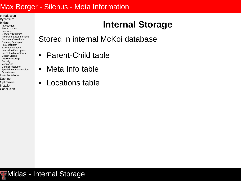Introduction Byzantium

#### **Midas**

- Introduction Solved issues Interfaces Directory Structure Programmatical Interface DocumentDescriptor **DirectoryDescriptor** FileDescriptor External Interface Internal to Descriptors Internal to MetaStores Vector Clocks **Internal Storage Security** Versioning Conflict resolution Special meta information Open issues User Interface Daphne **Optimizers**
- Installer Conclusion

# **Internal Storage**

Stored in internal McKoi database

- Parent-Child table
- Meta Info table
- Locations table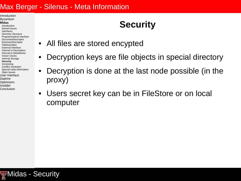#### Introduction Byzantium

#### **Midas**

Introduction Solved issues Interfaces Directory Structure Programmatical Interface DocumentDescriptor **DirectoryDescriptor** FileDescriptor External Interface Internal to Descriptors Internal to MetaStores Vector Clocks Internal Storage **Security** Versioning Conflict resolution Special meta information Open issues User Interface Daphne Optimizers Installer

Conclusion

# **Security**

- All files are stored encypted
- Decryption keys are file objects in special directory
- Decryption is done at the last node possible (in the proxy)
- Users secret key can be in FileStore or on local computer

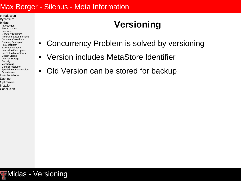Introduction Byzantium

#### **Midas**

Introduction Solved issues Interfaces Directory Structure Programmatical Interface DocumentDescriptor **DirectoryDescriptor** FileDescriptor External Interface Internal to Descriptors Internal to MetaStores Vector Clocks Internal Storage **Security Versioning** Conflict resolution Special meta information Open issues User Interface Daphne **Optimizers** Installer

Conclusion

# **Versioning**

- Concurrency Problem is solved by versioning
- Version includes MetaStore Identifier
- Old Version can be stored for backup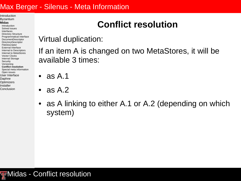Introduction Byzantium

#### **Midas**

Introduction Solved issues Interfaces Directory Structure Programmatical Interface DocumentDescriptor **DirectoryDescriptor** FileDescriptor External Interface Internal to Descriptors Internal to MetaStores Vector Clocks Internal Storage **Security** Versioning **Conflict resolution** Special meta information Open issues User Interface Daphne Optimizers Installer Conclusion

# **Conflict resolution**

Virtual duplication:

If an item A is changed on two MetaStores, it will be available 3 times:

- as A.1
- as A.2
- as A linking to either A.1 or A.2 (depending on which system)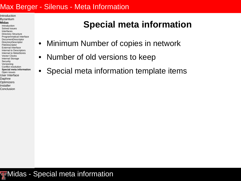Introduction Byzantium

#### **Midas**

Introduction Solved issues Interfaces Directory Structure Programmatical Interface DocumentDescriptor **DirectoryDescriptor** FileDescriptor External Interface Internal to Descriptors Internal to MetaStores Vector Clocks Internal Storage **Security** Versioning Conflict resolution **Special meta information** Open issues User Interface Daphne Optimizers Installer

Conclusion

## **Special meta information**

- Minimum Number of copies in network
- Number of old versions to keep
- Special meta information template items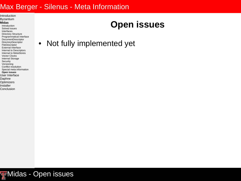Introduction Byzantium

#### **Midas**

Introduction Solved issues Interfaces Directory Structure Programmatical Interface DocumentDescriptor **DirectoryDescriptor** FileDescriptor External Interface Internal to Descriptors Internal to MetaStores Vector Clocks Internal Storage **Security** Versioning Conflict resolution Special meta information **Open issues** User Interface Daphne **Optimizers** Installer

Conclusion

## **Open issues**

• Not fully implemented yet

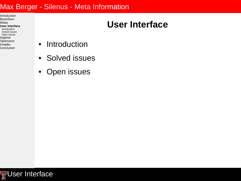Introduction Byzantium Midas **User Interface** Introduction Solved issues Open issues Daphne Optimizers Installer Conclusion

# **User Interface**

- Introduction
- Solved issues
- Open issues

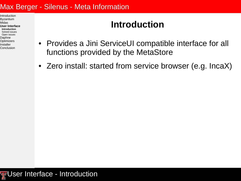Introduction Byzantium Midas **User Interface Introduction** Solved issues Open issues Daphne Optimizers Installer Conclusion

# **Introduction**

- Provides a Jini ServiceUI compatible interface for all functions provided by the MetaStore
- Zero install: started from service browser (e.g. IncaX)

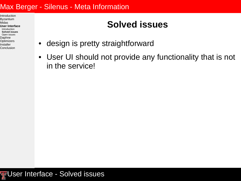Introduction Byzantium Midas **User Interface** Introduction **Solved issues** Open issues Daphne Optimizers Installer Conclusion

# **Solved issues**

- design is pretty straightforward
- User UI should not provide any functionality that is not in the service!

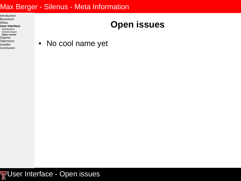Introduction Byzantium Midas **User Interface** Introduction Solved issues **Open issues** Daphne Optimizers Installer Conclusion

# **Open issues**

• No cool name yet

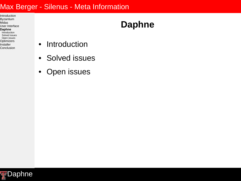Introduction Byzantium Midas User Interface **Daphne** Introduction Solved issues Open issues Optimizers Installer Conclusion

# **Daphne**

- Introduction
- Solved issues
- Open issues

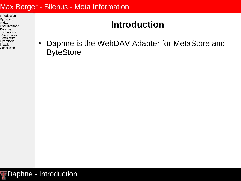Introduction Byzantium Midas User Interface **Daphne Introduction** Solved issues Open issues Optimizers Installer Conclusion

# **Introduction**

• Daphne is the WebDAV Adapter for MetaStore and **ByteStore** 

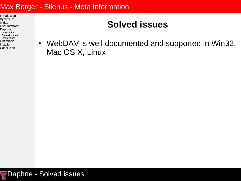Introduction Byzantium Midas User Interface **Daphne** Introduction **Solved issues** Open issues Optimizers Installer Conclusion

# **Solved issues**

• WebDAV is well documented and supported in Win32, Mac OS X, Linux

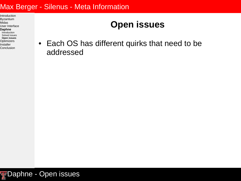Introduction Byzantium Midas User Interface **Daphne** Introduction Solved issues **Open issues** Optimizers Installer Conclusion

# **Open issues**

• Each OS has different quirks that need to be addressed

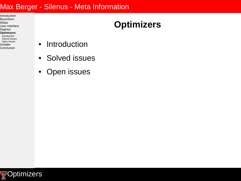Introduction Byzantium Midas User Interface Daphne **Optimizers** Introduction Solved issues Open issues Installer Conclusion

# **Optimizers**

- Introduction
- Solved issues
- Open issues

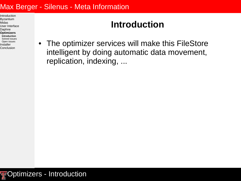Introduction Byzantium Midas User Interface Daphne **Optimizers Introduction** Solved issues Open issues Installer Conclusion

## **Introduction**

• The optimizer services will make this FileStore intelligent by doing automatic data movement, replication, indexing, ...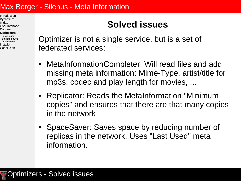Introduction Byzantium Midas User Interface Daphne **Optimizers** Introduction **Solved issues** Open issues Installer Conclusion

# **Solved issues**

Optimizer is not a single service, but is a set of federated services:

- MetaInformationCompleter: Will read files and add missing meta information: Mime-Type, artist/title for mp3s, codec and play length for movies, ...
- Replicator: Reads the MetaInformation "Minimum copies" and ensures that there are that many copies in the network
- SpaceSaver: Saves space by reducing number of replicas in the network. Uses "Last Used" meta information.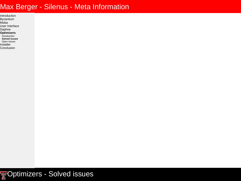Introduction Byzantium Midas User Interface Daphne **Optimizers Introduction Solved issues** Open issues Installer Conclusion

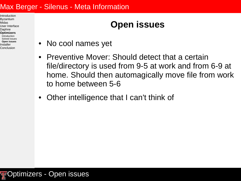Introduction Byzantium Midas User Interface Daphne **Optimizers** Introduction Solved issues **Open issues** Installer Conclusion

# **Open issues**

- No cool names yet
- Preventive Mover: Should detect that a certain file/directory is used from 9-5 at work and from 6-9 at home. Should then automagically move file from work to home between 5-6
- Other intelligence that I can't think of

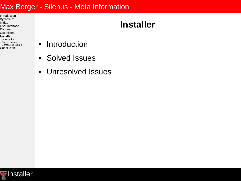Introduction Byzantium Midas User Interface Daphne **Optimizers Installer** Introduction Solved Issues Unresolved Issues Conclusion

## **Installer**

- Introduction
- Solved Issues
- Unresolved Issues

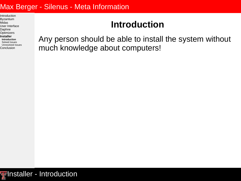Introduction Byzantium Midas User Interface Daphne Optimizers **Installer Introduction** Solved Issues Unresolved Issues Conclusion

## **Introduction**

Any person should be able to install the system without much knowledge about computers!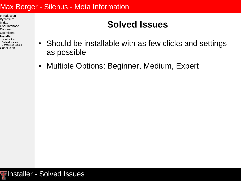Introduction Byzantium Midas User Interface Daphne Optimizers **Installer** Introduction **Solved Issues** Unresolved Issues Conclusion

# **Solved Issues**

- Should be installable with as few clicks and settings as possible
- Multiple Options: Beginner, Medium, Expert

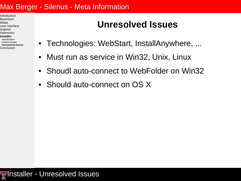Introduction Byzantium Midas User Interface Daphne Optimizers **Installer** Introduction Solved Issues **Unresolved Issues Conclusion** 

# **Unresolved Issues**

- Technologies: WebStart, InstallAnywhere, ...
- Must run as service in Win32, Unix, Linux
- Shoudl auto-connect to WebFolder on Win32
- Should auto-connect on OS X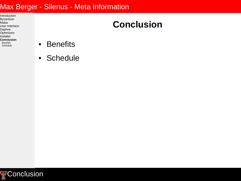Introduction Byzantium Midas User Interface Daphne **Optimizers** Installer **Conclusion Benefits Schedule** 

# **Conclusion**

- Benefits
- Schedule

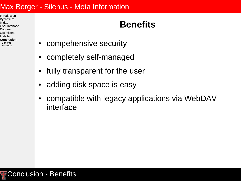Introduction Byzantium Midas User Interface Daphne Optimizers Installer **Conclusion Benefits Schedule** 

## **Benefits**

- compehensive security
- completely self-managed
- fully transparent for the user
- adding disk space is easy
- compatible with legacy applications via WebDAV interface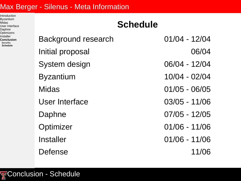Introduction Byzantium Midas User Interface Daphne Optimizers Installer **Conclusion Benefits Schedule**

**Schedule** Background research 01/04 - 12/04 Initial proposal and 06/04 System design 06/04 - 12/04 Byzantium 10/04 - 02/04 Midas 01/05 - 06/05 User Interface 03/05 - 11/06 Daphne 07/05 - 12/05 Optimizer 01/06 - 11/06 Installer 01/06 - 11/06 Defense 11/06